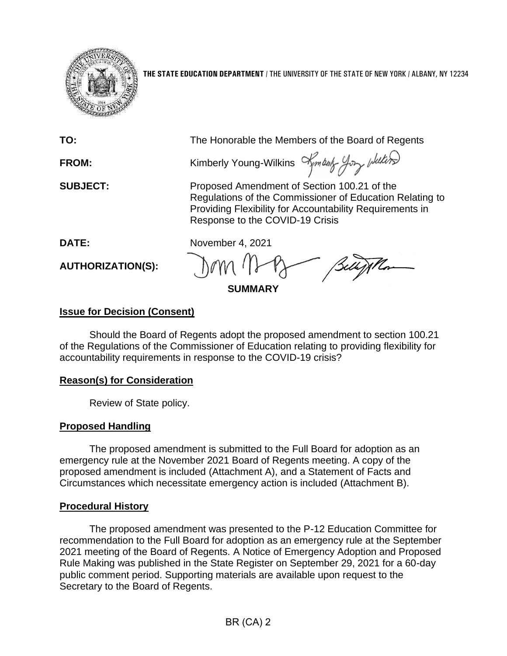

**THE STATE EDUCATION DEPARTMENT** / THE UNIVERSITY OF THE STATE OF NEW YORK / ALBANY, NY 12234

| TO:                      | The Honorable the Members of the Board of Regents                                                                                                                                                      |
|--------------------------|--------------------------------------------------------------------------------------------------------------------------------------------------------------------------------------------------------|
| <b>FROM:</b>             | Kimberly Young-Wilkins $\prec$ mboth $\prec$ por whiters                                                                                                                                               |
| <b>SUBJECT:</b>          | Proposed Amendment of Section 100.21 of the<br>Regulations of the Commissioner of Education Relating to<br>Providing Flexibility for Accountability Requirements in<br>Response to the COVID-19 Crisis |
| DATE:                    | November 4, 2021                                                                                                                                                                                       |
| <b>AUTHORIZATION(S):</b> | Belly Mon<br><b>SUMMARY</b>                                                                                                                                                                            |
|                          |                                                                                                                                                                                                        |

### **Issue for Decision (Consent)**

Should the Board of Regents adopt the proposed amendment to section 100.21 of the Regulations of the Commissioner of Education relating to providing flexibility for accountability requirements in response to the COVID-19 crisis?

#### **Reason(s) for Consideration**

Review of State policy.

# **Proposed Handling**

The proposed amendment is submitted to the Full Board for adoption as an emergency rule at the November 2021 Board of Regents meeting. A copy of the proposed amendment is included (Attachment A), and a Statement of Facts and Circumstances which necessitate emergency action is included (Attachment B).

# **Procedural History**

The proposed amendment was presented to the P-12 Education Committee for recommendation to the Full Board for adoption as an emergency rule at the September 2021 meeting of the Board of Regents. A Notice of Emergency Adoption and Proposed Rule Making was published in the State Register on September 29, 2021 for a 60-day public comment period. Supporting materials are available upon request to the Secretary to the Board of Regents.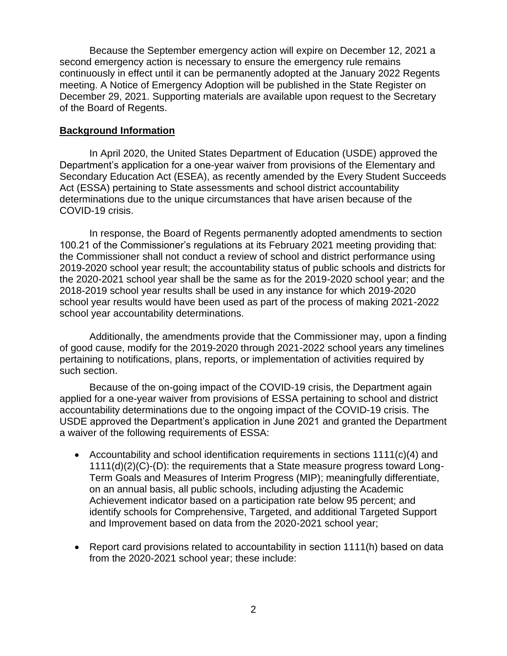Because the September emergency action will expire on December 12, 2021 a second emergency action is necessary to ensure the emergency rule remains continuously in effect until it can be permanently adopted at the January 2022 Regents meeting. A Notice of Emergency Adoption will be published in the State Register on December 29, 2021. Supporting materials are available upon request to the Secretary of the Board of Regents.

#### **Background Information**

In April 2020, the United States Department of Education (USDE) approved the Department's application for a one-year waiver from provisions of the Elementary and Secondary Education Act (ESEA), as recently amended by the Every Student Succeeds Act (ESSA) pertaining to State assessments and school district accountability determinations due to the unique circumstances that have arisen because of the COVID-19 crisis.

In response, the Board of Regents permanently adopted amendments to section 100.21 of the Commissioner's regulations at its February 2021 meeting providing that: the Commissioner shall not conduct a review of school and district performance using 2019-2020 school year result; the accountability status of public schools and districts for the 2020-2021 school year shall be the same as for the 2019-2020 school year; and the 2018-2019 school year results shall be used in any instance for which 2019-2020 school year results would have been used as part of the process of making 2021-2022 school year accountability determinations.

Additionally, the amendments provide that the Commissioner may, upon a finding of good cause, modify for the 2019-2020 through 2021-2022 school years any timelines pertaining to notifications, plans, reports, or implementation of activities required by such section.

Because of the on-going impact of the COVID-19 crisis, the Department again applied for a one-year waiver from provisions of ESSA pertaining to school and district accountability determinations due to the ongoing impact of the COVID-19 crisis. The USDE approved the Department's application in June 2021 and granted the Department a waiver of the following requirements of ESSA:

- Accountability and school identification requirements in sections  $1111(c)(4)$  and 1111(d)(2)(C)-(D): the requirements that a State measure progress toward Long-Term Goals and Measures of Interim Progress (MIP); meaningfully differentiate, on an annual basis, all public schools, including adjusting the Academic Achievement indicator based on a participation rate below 95 percent; and identify schools for Comprehensive, Targeted, and additional Targeted Support and Improvement based on data from the 2020-2021 school year;
- Report card provisions related to accountability in section 1111(h) based on data from the 2020-2021 school year; these include: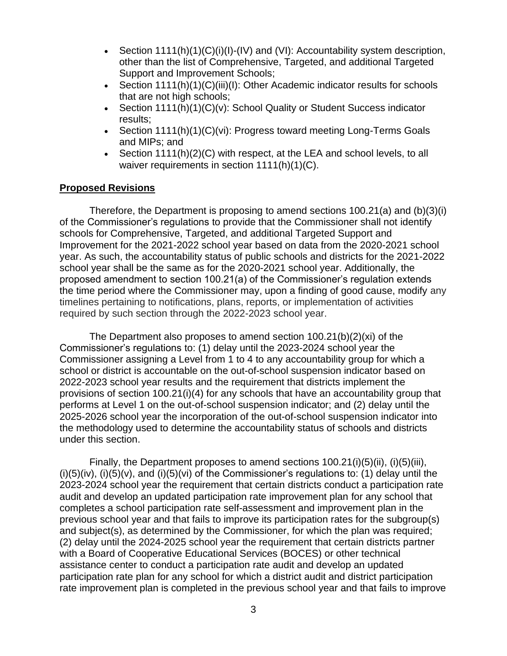- Section  $1111(h)(1)(C)(i)(l) (IV)$  and  $(Vl)$ : Accountability system description, other than the list of Comprehensive, Targeted, and additional Targeted Support and Improvement Schools;
- Section 1111(h)(1)(C)(iii)(l): Other Academic indicator results for schools that are not high schools;
- Section 1111(h)(1)(C)(v): School Quality or Student Success indicator results;
- Section 1111(h)(1)(C)(vi): Progress toward meeting Long-Terms Goals and MIPs; and
- Section 1111(h) $(2)(C)$  with respect, at the LEA and school levels, to all waiver requirements in section 1111(h)(1)(C).

#### **Proposed Revisions**

Therefore, the Department is proposing to amend sections 100.21(a) and (b)(3)(i) of the Commissioner's regulations to provide that the Commissioner shall not identify schools for Comprehensive, Targeted, and additional Targeted Support and Improvement for the 2021-2022 school year based on data from the 2020-2021 school year. As such, the accountability status of public schools and districts for the 2021-2022 school year shall be the same as for the 2020-2021 school year. Additionally, the proposed amendment to section 100.21(a) of the Commissioner's regulation extends the time period where the Commissioner may, upon a finding of good cause, modify any timelines pertaining to notifications, plans, reports, or implementation of activities required by such section through the 2022-2023 school year.

The Department also proposes to amend section 100.21(b)(2)(xi) of the Commissioner's regulations to: (1) delay until the 2023-2024 school year the Commissioner assigning a Level from 1 to 4 to any accountability group for which a school or district is accountable on the out-of-school suspension indicator based on 2022-2023 school year results and the requirement that districts implement the provisions of section 100.21(i)(4) for any schools that have an accountability group that performs at Level 1 on the out-of-school suspension indicator; and (2) delay until the 2025-2026 school year the incorporation of the out-of-school suspension indicator into the methodology used to determine the accountability status of schools and districts under this section.

Finally, the Department proposes to amend sections 100.21(i)(5)(ii), (i)(5)(iii),  $(i)(5)(iv)$ ,  $(i)(5)(v)$ , and  $(i)(5)(vi)$  of the Commissioner's regulations to: (1) delay until the 2023-2024 school year the requirement that certain districts conduct a participation rate audit and develop an updated participation rate improvement plan for any school that completes a school participation rate self-assessment and improvement plan in the previous school year and that fails to improve its participation rates for the subgroup(s) and subject(s), as determined by the Commissioner, for which the plan was required; (2) delay until the 2024-2025 school year the requirement that certain districts partner with a Board of Cooperative Educational Services (BOCES) or other technical assistance center to conduct a participation rate audit and develop an updated participation rate plan for any school for which a district audit and district participation rate improvement plan is completed in the previous school year and that fails to improve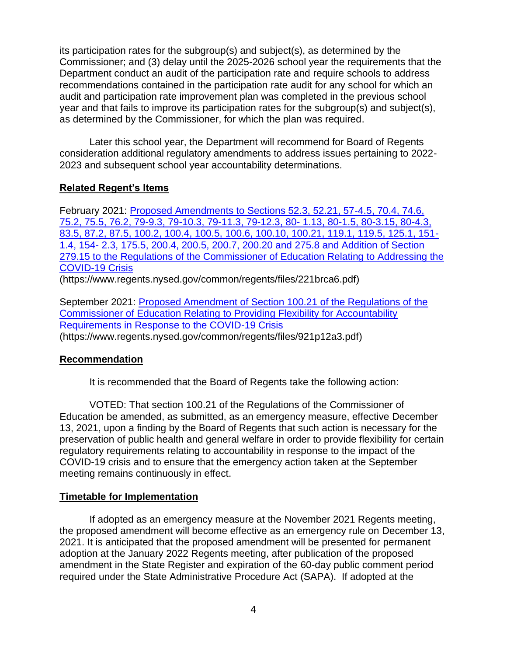its participation rates for the subgroup(s) and subject(s), as determined by the Commissioner; and (3) delay until the 2025-2026 school year the requirements that the Department conduct an audit of the participation rate and require schools to address recommendations contained in the participation rate audit for any school for which an audit and participation rate improvement plan was completed in the previous school year and that fails to improve its participation rates for the subgroup(s) and subject(s), as determined by the Commissioner, for which the plan was required.

Later this school year, the Department will recommend for Board of Regents consideration additional regulatory amendments to address issues pertaining to 2022- 2023 and subsequent school year accountability determinations.

# **Related Regent's Items**

February 2021: [Proposed Amendments to Sections 52.3, 52.21, 57-4.5, 70.4, 74.6,](https://www.regents.nysed.gov/common/regents/files/221brca6.pdf)  [75.2, 75.5, 76.2, 79-9.3, 79-10.3, 79-11.3, 79-12.3, 80-](https://www.regents.nysed.gov/common/regents/files/221brca6.pdf) 1.13, 80-1.5, 80-3.15, 80-4.3, [83.5, 87.2, 87.5, 100.2, 100.4, 100.5, 100.6, 100.10, 100.21, 119.1, 119.5, 125.1, 151-](https://www.regents.nysed.gov/common/regents/files/221brca6.pdf) 1.4, 154- [2.3, 175.5, 200.4, 200.5, 200.7, 200.20 and 275.8 and Addition of Section](https://www.regents.nysed.gov/common/regents/files/221brca6.pdf)  [279.15 to the Regulations of the Commissioner of Education Relating to Addressing the](https://www.regents.nysed.gov/common/regents/files/221brca6.pdf)  [COVID-19 Crisis](https://www.regents.nysed.gov/common/regents/files/221brca6.pdf)

(https://www.regents.nysed.gov/common/regents/files/221brca6.pdf)

September 2021: [Proposed Amendment of Section 100.21 of the Regulations of the](https://www.regents.nysed.gov/common/regents/files/921p12a3.pdf)  [Commissioner of Education Relating to Providing Flexibility for Accountability](https://www.regents.nysed.gov/common/regents/files/921p12a3.pdf)  [Requirements in Response to the COVID-19 Crisis](https://www.regents.nysed.gov/common/regents/files/921p12a3.pdf) (https://www.regents.nysed.gov/common/regents/files/921p12a3.pdf)

# **Recommendation**

It is recommended that the Board of Regents take the following action:

VOTED: That section 100.21 of the Regulations of the Commissioner of Education be amended, as submitted, as an emergency measure, effective December 13, 2021, upon a finding by the Board of Regents that such action is necessary for the preservation of public health and general welfare in order to provide flexibility for certain regulatory requirements relating to accountability in response to the impact of the COVID-19 crisis and to ensure that the emergency action taken at the September meeting remains continuously in effect.

# **Timetable for Implementation**

If adopted as an emergency measure at the November 2021 Regents meeting, the proposed amendment will become effective as an emergency rule on December 13, 2021. It is anticipated that the proposed amendment will be presented for permanent adoption at the January 2022 Regents meeting, after publication of the proposed amendment in the State Register and expiration of the 60-day public comment period required under the State Administrative Procedure Act (SAPA). If adopted at the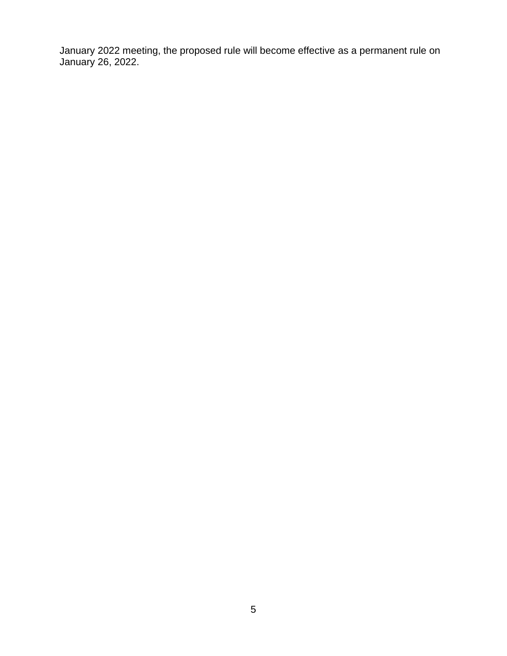January 2022 meeting, the proposed rule will become effective as a permanent rule on January 26, 2022.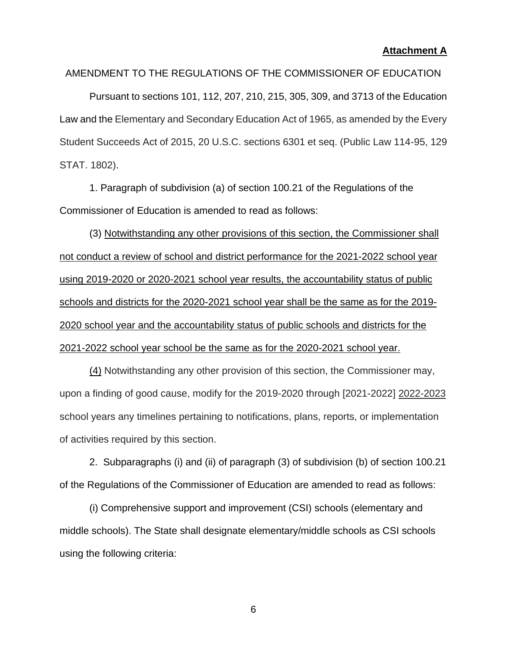#### **Attachment A**

#### AMENDMENT TO THE REGULATIONS OF THE COMMISSIONER OF EDUCATION

Pursuant to sections 101, 112, 207, 210, 215, 305, 309, and 3713 of the Education Law and the Elementary and Secondary Education Act of 1965, as amended by the Every Student Succeeds Act of 2015, 20 U.S.C. sections 6301 et seq. (Public Law 114-95, 129 STAT. 1802).

1. Paragraph of subdivision (a) of section 100.21 of the Regulations of the Commissioner of Education is amended to read as follows:

(3) Notwithstanding any other provisions of this section, the Commissioner shall not conduct a review of school and district performance for the 2021-2022 school year using 2019-2020 or 2020-2021 school year results, the accountability status of public schools and districts for the 2020-2021 school year shall be the same as for the 2019- 2020 school year and the accountability status of public schools and districts for the 2021-2022 school year school be the same as for the 2020-2021 school year.

(4) Notwithstanding any other provision of this section, the Commissioner may, upon a finding of good cause, modify for the 2019-2020 through [2021-2022] 2022-2023 school years any timelines pertaining to notifications, plans, reports, or implementation of activities required by this section.

2. Subparagraphs (i) and (ii) of paragraph (3) of subdivision (b) of section 100.21 of the Regulations of the Commissioner of Education are amended to read as follows:

(i) Comprehensive support and improvement (CSI) schools (elementary and middle schools). The State shall designate elementary/middle schools as CSI schools using the following criteria: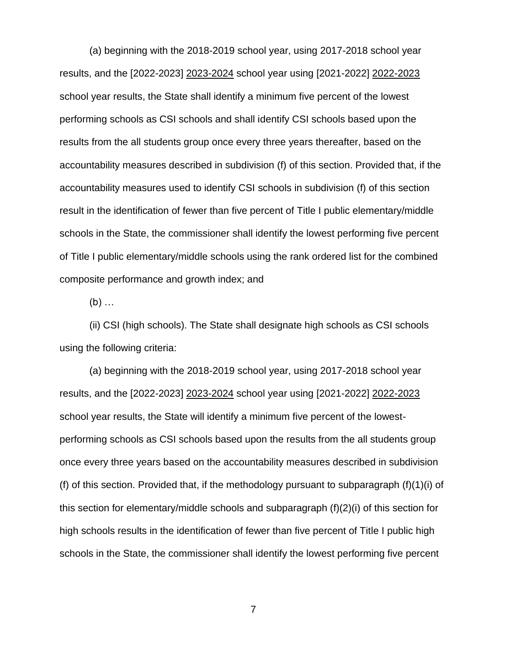(a) beginning with the 2018-2019 school year, using 2017-2018 school year results, and the [2022-2023] 2023-2024 school year using [2021-2022] 2022-2023 school year results, the State shall identify a minimum five percent of the lowest performing schools as CSI schools and shall identify CSI schools based upon the results from the all students group once every three years thereafter, based on the accountability measures described in subdivision (f) of this section. Provided that, if the accountability measures used to identify CSI schools in subdivision (f) of this section result in the identification of fewer than five percent of Title I public elementary/middle schools in the State, the commissioner shall identify the lowest performing five percent of Title I public elementary/middle schools using the rank ordered list for the combined composite performance and growth index; and

 $(b)$  ...

(ii) CSI (high schools). The State shall designate high schools as CSI schools using the following criteria:

(a) beginning with the 2018-2019 school year, using 2017-2018 school year results, and the [2022-2023] 2023-2024 school year using [2021-2022] 2022-2023 school year results, the State will identify a minimum five percent of the lowestperforming schools as CSI schools based upon the results from the all students group once every three years based on the accountability measures described in subdivision (f) of this section. Provided that, if the methodology pursuant to subparagraph (f)(1)(i) of this section for elementary/middle schools and subparagraph (f)(2)(i) of this section for high schools results in the identification of fewer than five percent of Title I public high schools in the State, the commissioner shall identify the lowest performing five percent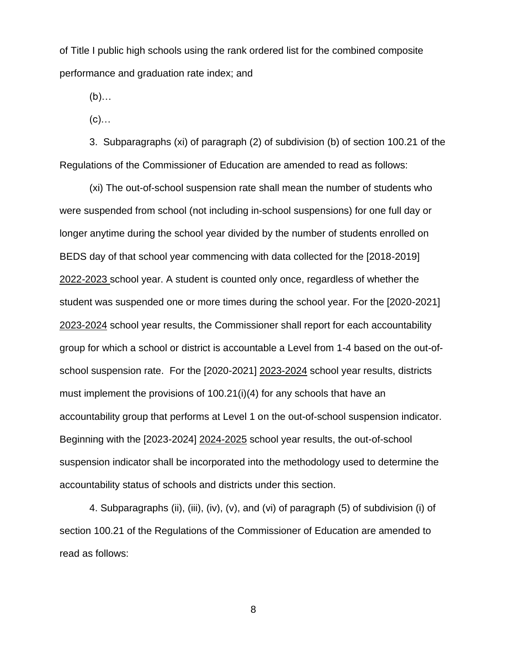of Title I public high schools using the rank ordered list for the combined composite performance and graduation rate index; and

(b)…

 $(c)$ …

3. Subparagraphs (xi) of paragraph (2) of subdivision (b) of section 100.21 of the Regulations of the Commissioner of Education are amended to read as follows:

(xi) The out-of-school suspension rate shall mean the number of students who were suspended from school (not including in-school suspensions) for one full day or longer anytime during the school year divided by the number of students enrolled on BEDS day of that school year commencing with data collected for the [2018-2019] 2022*-*2023 school year. A student is counted only once, regardless of whether the student was suspended one or more times during the school year. For the [2020-2021] 2023-2024 school year results, the Commissioner shall report for each accountability group for which a school or district is accountable a Level from 1-4 based on the out-ofschool suspension rate. For the [2020-2021] 2023-2024 school year results, districts must implement the provisions of 100.21(i)(4) for any schools that have an accountability group that performs at Level 1 on the out-of-school suspension indicator. Beginning with the [2023-2024] 2024-2025 school year results, the out-of-school suspension indicator shall be incorporated into the methodology used to determine the accountability status of schools and districts under this section.

4. Subparagraphs (ii), (iii), (iv), (v), and (vi) of paragraph (5) of subdivision (i) of section 100.21 of the Regulations of the Commissioner of Education are amended to read as follows: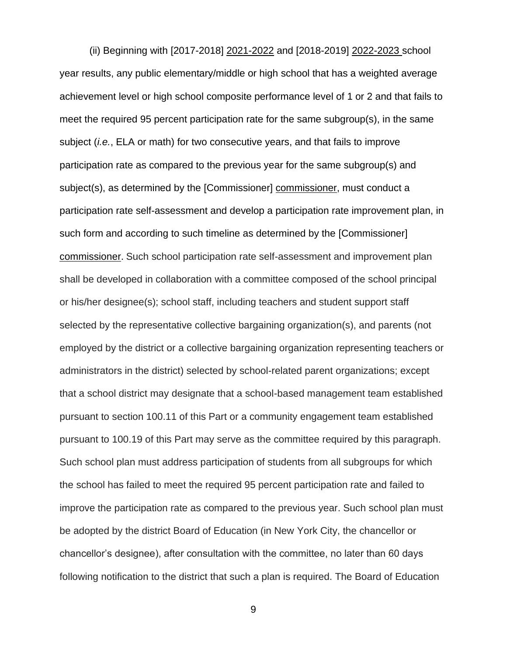(ii) Beginning with [2017-2018] 2021-2022 and [2018-2019] 2022-2023 school year results, any public elementary/middle or high school that has a weighted average achievement level or high school composite performance level of 1 or 2 and that fails to meet the required 95 percent participation rate for the same subgroup(s), in the same subject (*i.e.*, ELA or math) for two consecutive years, and that fails to improve participation rate as compared to the previous year for the same subgroup(s) and subject(s), as determined by the [Commissioner] commissioner, must conduct a participation rate self-assessment and develop a participation rate improvement plan, in such form and according to such timeline as determined by the [Commissioner] commissioner. Such school participation rate self-assessment and improvement plan shall be developed in collaboration with a committee composed of the school principal or his/her designee(s); school staff, including teachers and student support staff selected by the representative collective bargaining organization(s), and parents (not employed by the district or a collective bargaining organization representing teachers or administrators in the district) selected by school-related parent organizations; except that a school district may designate that a school-based management team established pursuant to section 100.11 of this Part or a community engagement team established pursuant to 100.19 of this Part may serve as the committee required by this paragraph. Such school plan must address participation of students from all subgroups for which the school has failed to meet the required 95 percent participation rate and failed to improve the participation rate as compared to the previous year. Such school plan must be adopted by the district Board of Education (in New York City, the chancellor or chancellor's designee), after consultation with the committee, no later than 60 days following notification to the district that such a plan is required. The Board of Education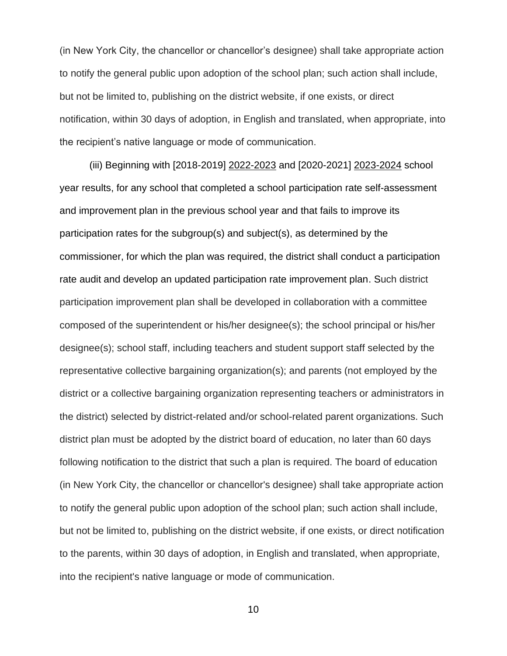(in New York City, the chancellor or chancellor's designee) shall take appropriate action to notify the general public upon adoption of the school plan; such action shall include, but not be limited to, publishing on the district website, if one exists, or direct notification, within 30 days of adoption, in English and translated, when appropriate, into the recipient's native language or mode of communication.

(iii) Beginning with [2018-2019] 2022-2023 and [2020-2021] 2023-2024 school year results, for any school that completed a school participation rate self-assessment and improvement plan in the previous school year and that fails to improve its participation rates for the subgroup(s) and subject(s), as determined by the commissioner, for which the plan was required, the district shall conduct a participation rate audit and develop an updated participation rate improvement plan. Such district participation improvement plan shall be developed in collaboration with a committee composed of the superintendent or his/her designee(s); the school principal or his/her designee(s); school staff, including teachers and student support staff selected by the representative collective bargaining organization(s); and parents (not employed by the district or a collective bargaining organization representing teachers or administrators in the district) selected by district-related and/or school-related parent organizations. Such district plan must be adopted by the district board of education, no later than 60 days following notification to the district that such a plan is required. The board of education (in New York City, the chancellor or chancellor's designee) shall take appropriate action to notify the general public upon adoption of the school plan; such action shall include, but not be limited to, publishing on the district website, if one exists, or direct notification to the parents, within 30 days of adoption, in English and translated, when appropriate, into the recipient's native language or mode of communication.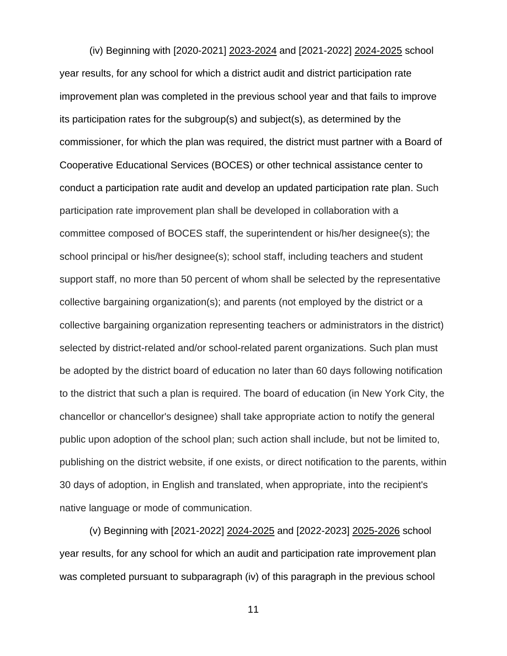(iv) Beginning with [2020-2021] 2023-2024 and [2021-2022] 2024-2025 school year results, for any school for which a district audit and district participation rate improvement plan was completed in the previous school year and that fails to improve its participation rates for the subgroup(s) and subject(s), as determined by the commissioner, for which the plan was required, the district must partner with a Board of Cooperative Educational Services (BOCES) or other technical assistance center to conduct a participation rate audit and develop an updated participation rate plan. Such participation rate improvement plan shall be developed in collaboration with a committee composed of BOCES staff, the superintendent or his/her designee(s); the school principal or his/her designee(s); school staff, including teachers and student support staff, no more than 50 percent of whom shall be selected by the representative collective bargaining organization(s); and parents (not employed by the district or a collective bargaining organization representing teachers or administrators in the district) selected by district-related and/or school-related parent organizations. Such plan must be adopted by the district board of education no later than 60 days following notification to the district that such a plan is required. The board of education (in New York City, the chancellor or chancellor's designee) shall take appropriate action to notify the general public upon adoption of the school plan; such action shall include, but not be limited to, publishing on the district website, if one exists, or direct notification to the parents, within 30 days of adoption, in English and translated, when appropriate, into the recipient's native language or mode of communication.

(v) Beginning with [2021-2022] 2024-2025 and [2022-2023] 2025-2026 school year results, for any school for which an audit and participation rate improvement plan was completed pursuant to subparagraph (iv) of this paragraph in the previous school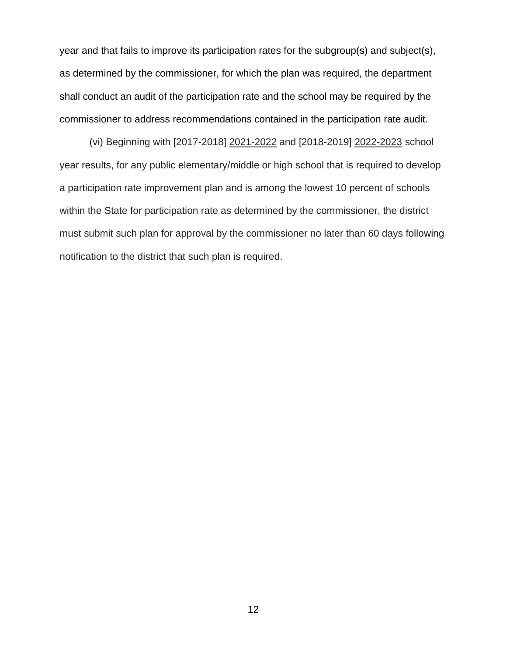year and that fails to improve its participation rates for the subgroup(s) and subject(s), as determined by the commissioner, for which the plan was required, the department shall conduct an audit of the participation rate and the school may be required by the commissioner to address recommendations contained in the participation rate audit.

(vi) Beginning with [2017-2018] 2021-2022 and [2018-2019] 2022-2023 school year results, for any public elementary/middle or high school that is required to develop a participation rate improvement plan and is among the lowest 10 percent of schools within the State for participation rate as determined by the commissioner, the district must submit such plan for approval by the commissioner no later than 60 days following notification to the district that such plan is required.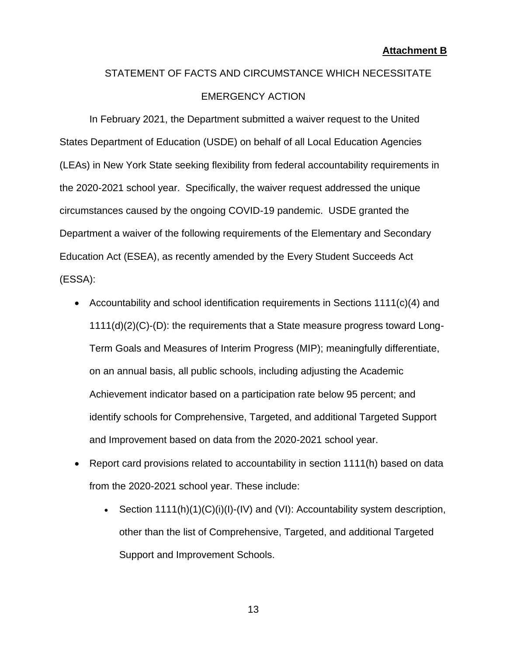# STATEMENT OF FACTS AND CIRCUMSTANCE WHICH NECESSITATE EMERGENCY ACTION

In February 2021, the Department submitted a waiver request to the United States Department of Education (USDE) on behalf of all Local Education Agencies (LEAs) in New York State seeking flexibility from federal accountability requirements in the 2020-2021 school year. Specifically, the waiver request addressed the unique circumstances caused by the ongoing COVID-19 pandemic. USDE granted the Department a waiver of the following requirements of the Elementary and Secondary Education Act (ESEA), as recently amended by the Every Student Succeeds Act (ESSA):

- Accountability and school identification requirements in Sections 1111(c)(4) and 1111(d)(2)(C)-(D): the requirements that a State measure progress toward Long-Term Goals and Measures of Interim Progress (MIP); meaningfully differentiate, on an annual basis, all public schools, including adjusting the Academic Achievement indicator based on a participation rate below 95 percent; and identify schools for Comprehensive, Targeted, and additional Targeted Support and Improvement based on data from the 2020-2021 school year.
- Report card provisions related to accountability in section 1111(h) based on data from the 2020-2021 school year. These include:
	- Section  $1111(h)(1)(C)(i)(l) (IV)$  and  $(Vl)$ : Accountability system description, other than the list of Comprehensive, Targeted, and additional Targeted Support and Improvement Schools.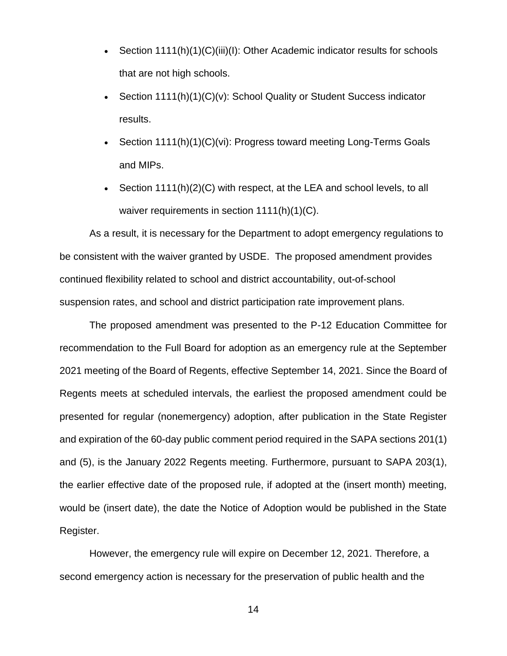- Section 1111(h)(1)(C)(iii)(l): Other Academic indicator results for schools that are not high schools.
- Section 1111(h)(1)(C)(v): School Quality or Student Success indicator results.
- Section 1111(h)(1)(C)(vi): Progress toward meeting Long-Terms Goals and MIPs.
- Section 1111(h)(2)(C) with respect, at the LEA and school levels, to all waiver requirements in section 1111(h)(1)(C).

As a result, it is necessary for the Department to adopt emergency regulations to be consistent with the waiver granted by USDE. The proposed amendment provides continued flexibility related to school and district accountability, out-of-school suspension rates, and school and district participation rate improvement plans.

The proposed amendment was presented to the P-12 Education Committee for recommendation to the Full Board for adoption as an emergency rule at the September 2021 meeting of the Board of Regents, effective September 14, 2021. Since the Board of Regents meets at scheduled intervals, the earliest the proposed amendment could be presented for regular (nonemergency) adoption, after publication in the State Register and expiration of the 60-day public comment period required in the SAPA sections 201(1) and (5), is the January 2022 Regents meeting. Furthermore, pursuant to SAPA 203(1), the earlier effective date of the proposed rule, if adopted at the (insert month) meeting, would be (insert date), the date the Notice of Adoption would be published in the State Register.

However, the emergency rule will expire on December 12, 2021. Therefore, a second emergency action is necessary for the preservation of public health and the